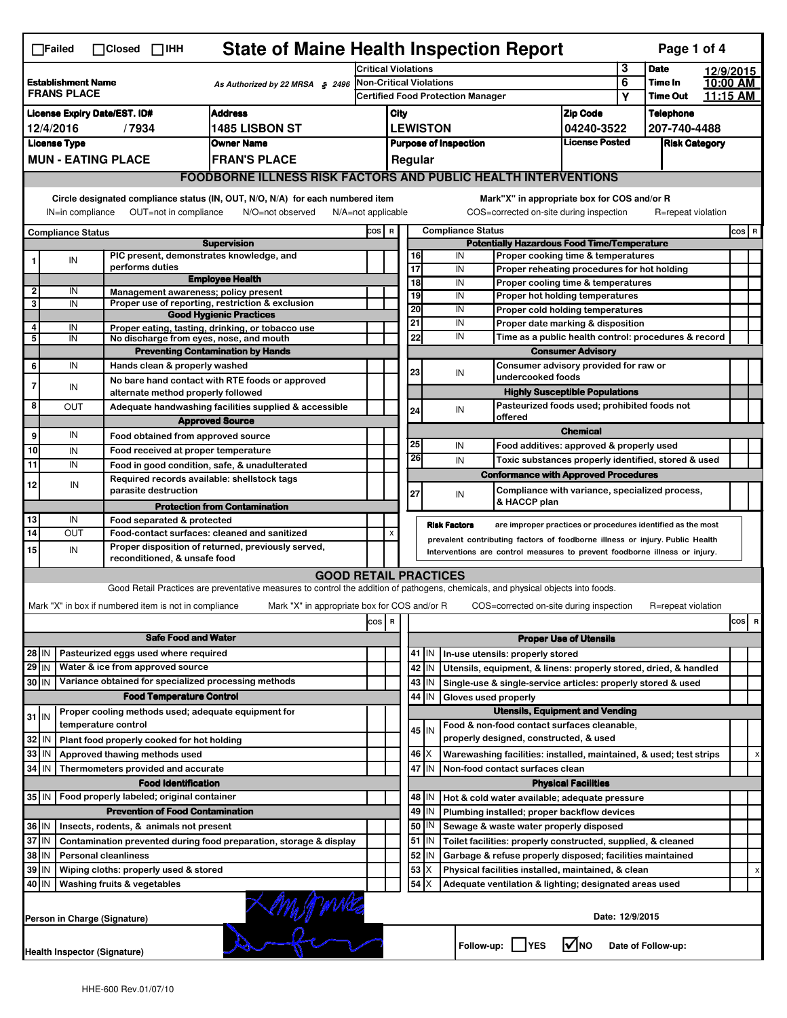| <b>State of Maine Health Inspection Report</b><br>Page 1 of 4<br>$\Box$ Failed<br>$\Box$ Closed $\Box$ IHH |                                                                                                                                                                                                                                                                                           |                                                                                          |                                                                     |                                                                                                                                   |       |                                                                            |                                                    |                                                           |                                                                                      |                                                         |                                                                                   |          |                      |  |          |  |
|------------------------------------------------------------------------------------------------------------|-------------------------------------------------------------------------------------------------------------------------------------------------------------------------------------------------------------------------------------------------------------------------------------------|------------------------------------------------------------------------------------------|---------------------------------------------------------------------|-----------------------------------------------------------------------------------------------------------------------------------|-------|----------------------------------------------------------------------------|----------------------------------------------------|-----------------------------------------------------------|--------------------------------------------------------------------------------------|---------------------------------------------------------|-----------------------------------------------------------------------------------|----------|----------------------|--|----------|--|
|                                                                                                            |                                                                                                                                                                                                                                                                                           |                                                                                          |                                                                     | <b>Critical Violations</b>                                                                                                        |       |                                                                            |                                                    |                                                           |                                                                                      | 3                                                       | <b>Date</b>                                                                       |          | 12/9/2015            |  |          |  |
| <b>Establishment Name</b><br>As Authorized by 22 MRSA § 2496<br><b>FRANS PLACE</b>                         |                                                                                                                                                                                                                                                                                           |                                                                                          |                                                                     | Non-Critical Violations                                                                                                           |       |                                                                            |                                                    |                                                           | 6                                                                                    | Time In                                                 |                                                                                   | 10:00 AM |                      |  |          |  |
|                                                                                                            |                                                                                                                                                                                                                                                                                           |                                                                                          |                                                                     |                                                                                                                                   |       | <b>Certified Food Protection Manager</b>                                   |                                                    |                                                           |                                                                                      |                                                         |                                                                                   | Υ        | <b>Time Out</b>      |  | 11:15 AM |  |
| <b>Address</b><br><b>License Expiry Date/EST. ID#</b>                                                      |                                                                                                                                                                                                                                                                                           |                                                                                          |                                                                     |                                                                                                                                   |       | City                                                                       |                                                    |                                                           | <b>Zip Code</b>                                                                      |                                                         | <b>Telephone</b>                                                                  |          |                      |  |          |  |
| 1485 LISBON ST<br>12/4/2016<br>/7934                                                                       |                                                                                                                                                                                                                                                                                           |                                                                                          |                                                                     |                                                                                                                                   |       | <b>LEWISTON</b><br>04240-3522                                              |                                                    |                                                           |                                                                                      |                                                         | 207-740-4488                                                                      |          |                      |  |          |  |
| <b>License Type</b><br><b>Owner Name</b><br><b>MUN - EATING PLACE</b>                                      |                                                                                                                                                                                                                                                                                           |                                                                                          |                                                                     |                                                                                                                                   |       |                                                                            |                                                    |                                                           | <b>Purpose of Inspection</b>                                                         |                                                         | <b>License Posted</b>                                                             |          | <b>Risk Category</b> |  |          |  |
|                                                                                                            |                                                                                                                                                                                                                                                                                           |                                                                                          |                                                                     | <b>FRAN'S PLACE</b>                                                                                                               |       |                                                                            |                                                    | Regular                                                   |                                                                                      |                                                         |                                                                                   |          |                      |  |          |  |
|                                                                                                            | <b>FOODBORNE ILLNESS RISK FACTORS AND PUBLIC HEALTH INTERVENTIONS</b>                                                                                                                                                                                                                     |                                                                                          |                                                                     |                                                                                                                                   |       |                                                                            |                                                    |                                                           |                                                                                      |                                                         |                                                                                   |          |                      |  |          |  |
|                                                                                                            | Circle designated compliance status (IN, OUT, N/O, N/A) for each numbered item<br>Mark"X" in appropriate box for COS and/or R<br>IN=in compliance<br>OUT=not in compliance<br>N/O=not observed<br>COS=corrected on-site during inspection<br>R=repeat violation<br>$N/A = not$ applicable |                                                                                          |                                                                     |                                                                                                                                   |       |                                                                            |                                                    |                                                           |                                                                                      |                                                         |                                                                                   |          |                      |  |          |  |
|                                                                                                            | <b>Compliance Status</b>                                                                                                                                                                                                                                                                  |                                                                                          |                                                                     |                                                                                                                                   | COS R |                                                                            |                                                    |                                                           | <b>Compliance Status</b>                                                             |                                                         |                                                                                   |          |                      |  | COS R    |  |
|                                                                                                            |                                                                                                                                                                                                                                                                                           |                                                                                          |                                                                     | <b>Supervision</b>                                                                                                                |       |                                                                            | <b>Potentially Hazardous Food Time/Temperature</b> |                                                           |                                                                                      |                                                         |                                                                                   |          |                      |  |          |  |
|                                                                                                            | IN                                                                                                                                                                                                                                                                                        |                                                                                          | PIC present, demonstrates knowledge, and<br>performs duties         |                                                                                                                                   |       |                                                                            | 16<br>$\overline{17}$                              |                                                           | IN<br>IN                                                                             |                                                         | Proper cooking time & temperatures                                                |          |                      |  |          |  |
|                                                                                                            |                                                                                                                                                                                                                                                                                           |                                                                                          |                                                                     | <b>Employee Health</b>                                                                                                            |       |                                                                            | 18                                                 |                                                           | IN                                                                                   |                                                         | Proper reheating procedures for hot holding<br>Proper cooling time & temperatures |          |                      |  |          |  |
| $\overline{2}$                                                                                             | IN                                                                                                                                                                                                                                                                                        |                                                                                          | Management awareness; policy present                                |                                                                                                                                   |       |                                                                            | 19                                                 |                                                           | IN                                                                                   |                                                         | Proper hot holding temperatures                                                   |          |                      |  |          |  |
| 3                                                                                                          | IN                                                                                                                                                                                                                                                                                        |                                                                                          |                                                                     | Proper use of reporting, restriction & exclusion                                                                                  |       |                                                                            | 20                                                 |                                                           | IN                                                                                   |                                                         | Proper cold holding temperatures                                                  |          |                      |  |          |  |
| 4                                                                                                          | IN                                                                                                                                                                                                                                                                                        |                                                                                          |                                                                     | <b>Good Hygienic Practices</b><br>Proper eating, tasting, drinking, or tobacco use                                                |       |                                                                            | 21                                                 |                                                           | IN                                                                                   | Proper date marking & disposition                       |                                                                                   |          |                      |  |          |  |
| 5                                                                                                          | IN                                                                                                                                                                                                                                                                                        |                                                                                          | No discharge from eyes, nose, and mouth                             |                                                                                                                                   |       |                                                                            | 22                                                 |                                                           | IN                                                                                   | Time as a public health control: procedures & record    |                                                                                   |          |                      |  |          |  |
|                                                                                                            |                                                                                                                                                                                                                                                                                           |                                                                                          |                                                                     | <b>Preventing Contamination by Hands</b>                                                                                          |       |                                                                            |                                                    |                                                           | <b>Consumer Advisory</b>                                                             |                                                         |                                                                                   |          |                      |  |          |  |
| 6                                                                                                          | IN                                                                                                                                                                                                                                                                                        |                                                                                          | Hands clean & properly washed                                       |                                                                                                                                   |       |                                                                            | 23                                                 |                                                           |                                                                                      | Consumer advisory provided for raw or                   |                                                                                   |          |                      |  |          |  |
| 7                                                                                                          | IN                                                                                                                                                                                                                                                                                        |                                                                                          |                                                                     | No bare hand contact with RTE foods or approved                                                                                   |       |                                                                            |                                                    |                                                           | IN                                                                                   | undercooked foods                                       |                                                                                   |          |                      |  |          |  |
|                                                                                                            |                                                                                                                                                                                                                                                                                           |                                                                                          | alternate method properly followed                                  |                                                                                                                                   |       |                                                                            |                                                    |                                                           |                                                                                      |                                                         | <b>Highly Susceptible Populations</b>                                             |          |                      |  |          |  |
| 8                                                                                                          | OUT                                                                                                                                                                                                                                                                                       |                                                                                          |                                                                     | Adequate handwashing facilities supplied & accessible                                                                             |       |                                                                            | 24                                                 |                                                           | IN                                                                                   | Pasteurized foods used; prohibited foods not<br>offered |                                                                                   |          |                      |  |          |  |
|                                                                                                            |                                                                                                                                                                                                                                                                                           |                                                                                          |                                                                     | <b>Approved Source</b>                                                                                                            |       |                                                                            |                                                    |                                                           |                                                                                      |                                                         | <b>Chemical</b>                                                                   |          |                      |  |          |  |
| 9                                                                                                          | IN                                                                                                                                                                                                                                                                                        |                                                                                          | Food obtained from approved source                                  |                                                                                                                                   |       |                                                                            | 25                                                 |                                                           | IN                                                                                   |                                                         | Food additives: approved & properly used                                          |          |                      |  |          |  |
| 10                                                                                                         | IN                                                                                                                                                                                                                                                                                        |                                                                                          | Food received at proper temperature                                 |                                                                                                                                   |       |                                                                            | 26                                                 |                                                           | IN                                                                                   |                                                         | Toxic substances properly identified, stored & used                               |          |                      |  |          |  |
| 11                                                                                                         | IN                                                                                                                                                                                                                                                                                        |                                                                                          | Food in good condition, safe, & unadulterated                       |                                                                                                                                   |       |                                                                            |                                                    |                                                           |                                                                                      |                                                         | <b>Conformance with Approved Procedures</b>                                       |          |                      |  |          |  |
| 12                                                                                                         | IN                                                                                                                                                                                                                                                                                        |                                                                                          | Required records available: shellstock tags<br>parasite destruction |                                                                                                                                   |       |                                                                            | 27                                                 |                                                           | IN                                                                                   | & HACCP plan                                            | Compliance with variance, specialized process,                                    |          |                      |  |          |  |
|                                                                                                            |                                                                                                                                                                                                                                                                                           |                                                                                          |                                                                     | <b>Protection from Contamination</b>                                                                                              |       |                                                                            |                                                    |                                                           |                                                                                      |                                                         |                                                                                   |          |                      |  |          |  |
| 13                                                                                                         | IN                                                                                                                                                                                                                                                                                        |                                                                                          | Food separated & protected                                          |                                                                                                                                   |       |                                                                            |                                                    |                                                           | <b>Risk Factors</b>                                                                  |                                                         | are improper practices or procedures identified as the most                       |          |                      |  |          |  |
| 14                                                                                                         | OUT                                                                                                                                                                                                                                                                                       |                                                                                          | Food-contact surfaces: cleaned and sanitized                        | Proper disposition of returned, previously served,                                                                                |       | X                                                                          |                                                    |                                                           | prevalent contributing factors of foodborne illness or injury. Public Health         |                                                         |                                                                                   |          |                      |  |          |  |
| 15                                                                                                         | IN                                                                                                                                                                                                                                                                                        |                                                                                          | reconditioned, & unsafe food                                        |                                                                                                                                   |       | Interventions are control measures to prevent foodborne illness or injury. |                                                    |                                                           |                                                                                      |                                                         |                                                                                   |          |                      |  |          |  |
|                                                                                                            |                                                                                                                                                                                                                                                                                           |                                                                                          |                                                                     | <b>GOOD RETAIL PRACTICES</b>                                                                                                      |       |                                                                            |                                                    |                                                           |                                                                                      |                                                         |                                                                                   |          |                      |  |          |  |
|                                                                                                            |                                                                                                                                                                                                                                                                                           |                                                                                          |                                                                     | Good Retail Practices are preventative measures to control the addition of pathogens, chemicals, and physical objects into foods. |       |                                                                            |                                                    |                                                           |                                                                                      |                                                         |                                                                                   |          |                      |  |          |  |
|                                                                                                            |                                                                                                                                                                                                                                                                                           |                                                                                          | Mark "X" in box if numbered item is not in compliance               | Mark "X" in appropriate box for COS and/or R                                                                                      |       |                                                                            |                                                    |                                                           |                                                                                      |                                                         | COS=corrected on-site during inspection                                           |          | R=repeat violation   |  |          |  |
|                                                                                                            |                                                                                                                                                                                                                                                                                           |                                                                                          |                                                                     |                                                                                                                                   | cos   | R                                                                          |                                                    |                                                           |                                                                                      |                                                         |                                                                                   |          |                      |  | cos<br>R |  |
|                                                                                                            |                                                                                                                                                                                                                                                                                           |                                                                                          | <b>Safe Food and Water</b>                                          |                                                                                                                                   |       |                                                                            |                                                    |                                                           |                                                                                      |                                                         |                                                                                   |          |                      |  |          |  |
|                                                                                                            |                                                                                                                                                                                                                                                                                           |                                                                                          | Pasteurized eggs used where required                                |                                                                                                                                   |       |                                                                            |                                                    | 41   IN                                                   |                                                                                      |                                                         | <b>Proper Use of Utensils</b>                                                     |          |                      |  |          |  |
| 28 IN<br>$29$ IN                                                                                           |                                                                                                                                                                                                                                                                                           |                                                                                          | Water & ice from approved source                                    |                                                                                                                                   |       |                                                                            |                                                    |                                                           | In-use utensils: properly stored                                                     |                                                         |                                                                                   |          |                      |  |          |  |
| 30 IN                                                                                                      |                                                                                                                                                                                                                                                                                           |                                                                                          | Variance obtained for specialized processing methods                |                                                                                                                                   |       |                                                                            |                                                    | 42 IN<br>43   IN                                          | Utensils, equipment, & linens: properly stored, dried, & handled                     |                                                         |                                                                                   |          |                      |  |          |  |
|                                                                                                            |                                                                                                                                                                                                                                                                                           |                                                                                          | <b>Food Temperature Control</b>                                     |                                                                                                                                   |       |                                                                            | 44                                                 | IN                                                        | Single-use & single-service articles: properly stored & used<br>Gloves used properly |                                                         |                                                                                   |          |                      |  |          |  |
|                                                                                                            |                                                                                                                                                                                                                                                                                           |                                                                                          | Proper cooling methods used; adequate equipment for                 |                                                                                                                                   |       |                                                                            |                                                    |                                                           |                                                                                      |                                                         | <b>Utensils, Equipment and Vending</b>                                            |          |                      |  |          |  |
| $31$ IN                                                                                                    |                                                                                                                                                                                                                                                                                           |                                                                                          | temperature control                                                 |                                                                                                                                   |       |                                                                            |                                                    |                                                           | Food & non-food contact surfaces cleanable,                                          |                                                         |                                                                                   |          |                      |  |          |  |
| 32                                                                                                         | ۱N                                                                                                                                                                                                                                                                                        |                                                                                          | Plant food properly cooked for hot holding                          |                                                                                                                                   |       |                                                                            |                                                    | 45   IN                                                   | properly designed, constructed, & used                                               |                                                         |                                                                                   |          |                      |  |          |  |
| 33                                                                                                         | IN                                                                                                                                                                                                                                                                                        |                                                                                          | Approved thawing methods used                                       |                                                                                                                                   |       |                                                                            |                                                    | $46$ $\times$                                             | Warewashing facilities: installed, maintained, & used; test strips                   |                                                         |                                                                                   |          |                      |  | х        |  |
| 34 IN                                                                                                      |                                                                                                                                                                                                                                                                                           |                                                                                          | Thermometers provided and accurate                                  |                                                                                                                                   |       |                                                                            |                                                    | 47 IN                                                     | Non-food contact surfaces clean                                                      |                                                         |                                                                                   |          |                      |  |          |  |
|                                                                                                            |                                                                                                                                                                                                                                                                                           |                                                                                          | <b>Food Identification</b>                                          |                                                                                                                                   |       |                                                                            |                                                    |                                                           |                                                                                      |                                                         | <b>Physical Facilities</b>                                                        |          |                      |  |          |  |
| 35 IN                                                                                                      |                                                                                                                                                                                                                                                                                           |                                                                                          | Food properly labeled; original container                           |                                                                                                                                   |       |                                                                            |                                                    | 48   IN                                                   | Hot & cold water available; adequate pressure                                        |                                                         |                                                                                   |          |                      |  |          |  |
| <b>Prevention of Food Contamination</b>                                                                    |                                                                                                                                                                                                                                                                                           |                                                                                          |                                                                     |                                                                                                                                   |       | 49                                                                         | IN                                                 | Plumbing installed; proper backflow devices               |                                                                                      |                                                         |                                                                                   |          |                      |  |          |  |
| 36 IN                                                                                                      |                                                                                                                                                                                                                                                                                           |                                                                                          | Insects, rodents, & animals not present                             |                                                                                                                                   |       |                                                                            | 50                                                 | IN                                                        | Sewage & waste water properly disposed                                               |                                                         |                                                                                   |          |                      |  |          |  |
| 37 IN<br>Contamination prevented during food preparation, storage & display                                |                                                                                                                                                                                                                                                                                           |                                                                                          |                                                                     |                                                                                                                                   |       |                                                                            |                                                    | 51 IN                                                     | Toilet facilities: properly constructed, supplied, & cleaned                         |                                                         |                                                                                   |          |                      |  |          |  |
| 38 IN<br><b>Personal cleanliness</b>                                                                       |                                                                                                                                                                                                                                                                                           |                                                                                          |                                                                     |                                                                                                                                   |       | 52                                                                         | ΙN                                                 | Garbage & refuse properly disposed; facilities maintained |                                                                                      |                                                         |                                                                                   |          |                      |  |          |  |
| 39 IN                                                                                                      |                                                                                                                                                                                                                                                                                           |                                                                                          | Wiping cloths: properly used & stored                               |                                                                                                                                   |       |                                                                            | 53                                                 | X                                                         | Physical facilities installed, maintained, & clean                                   |                                                         |                                                                                   |          |                      |  |          |  |
| 40 IN                                                                                                      |                                                                                                                                                                                                                                                                                           |                                                                                          | Washing fruits & vegetables                                         |                                                                                                                                   |       |                                                                            | 54                                                 | X                                                         | Adequate ventilation & lighting; designated areas used                               |                                                         |                                                                                   |          |                      |  |          |  |
|                                                                                                            | LM PAVICE<br>Date: 12/9/2015<br>Person in Charge (Signature)                                                                                                                                                                                                                              |                                                                                          |                                                                     |                                                                                                                                   |       |                                                                            |                                                    |                                                           |                                                                                      |                                                         |                                                                                   |          |                      |  |          |  |
|                                                                                                            |                                                                                                                                                                                                                                                                                           | l√lno<br>Follow-up:     YES<br>Date of Follow-up:<br><b>Health Inspector (Signature)</b> |                                                                     |                                                                                                                                   |       |                                                                            |                                                    |                                                           |                                                                                      |                                                         |                                                                                   |          |                      |  |          |  |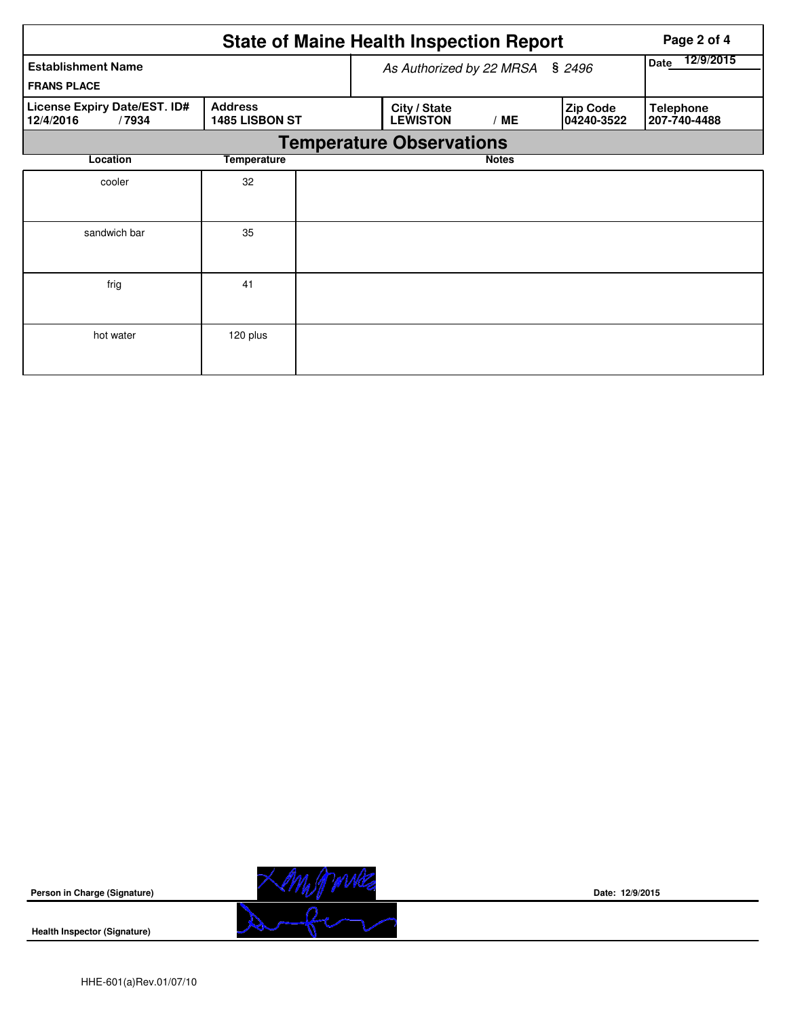|                                                    |                                 | <b>State of Maine Health Inspection Report</b> |                               |                                  | Page 2 of 4 |
|----------------------------------------------------|---------------------------------|------------------------------------------------|-------------------------------|----------------------------------|-------------|
| <b>Establishment Name</b><br><b>FRANS PLACE</b>    |                                 | As Authorized by 22 MRSA § 2496                | 12/9/2015<br>Date             |                                  |             |
| License Expiry Date/EST. ID#<br>12/4/2016<br>/7934 | City / State<br><b>LEWISTON</b> | /ME                                            | <b>Zip Code</b><br>04240-3522 | <b>Telephone</b><br>207-740-4488 |             |
|                                                    |                                 | <b>Temperature Observations</b>                |                               |                                  |             |
| Location                                           | <b>Temperature</b>              |                                                | <b>Notes</b>                  |                                  |             |
| cooler                                             | 32                              |                                                |                               |                                  |             |
| sandwich bar                                       | 35                              |                                                |                               |                                  |             |
| frig                                               | 41                              |                                                |                               |                                  |             |
| hot water                                          | 120 plus                        |                                                |                               |                                  |             |

**Person in Charge (Signature)**

Xempoures 

**Date: 12/9/2015**

**Health Inspector (Signature)**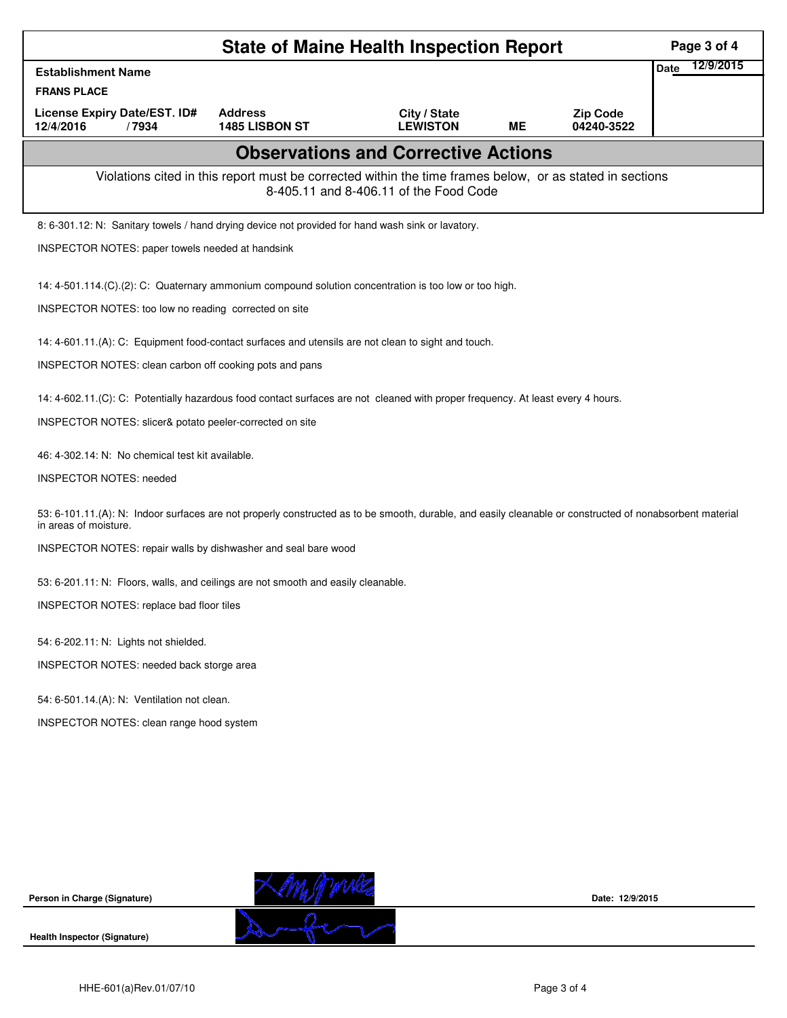| <b>State of Maine Health Inspection Report</b>                                                                                                                                    |                                                                                                          |                                            |    |                               |                   |  |  |
|-----------------------------------------------------------------------------------------------------------------------------------------------------------------------------------|----------------------------------------------------------------------------------------------------------|--------------------------------------------|----|-------------------------------|-------------------|--|--|
| <b>Establishment Name</b>                                                                                                                                                         |                                                                                                          |                                            |    |                               | 12/9/2015<br>Date |  |  |
| <b>FRANS PLACE</b>                                                                                                                                                                |                                                                                                          |                                            |    |                               |                   |  |  |
| License Expiry Date/EST. ID#<br>12/4/2016<br>/7934                                                                                                                                | <b>Address</b><br>1485 LISBON ST                                                                         | City / State<br><b>LEWISTON</b>            | ME | <b>Zip Code</b><br>04240-3522 |                   |  |  |
|                                                                                                                                                                                   |                                                                                                          | <b>Observations and Corrective Actions</b> |    |                               |                   |  |  |
|                                                                                                                                                                                   | Violations cited in this report must be corrected within the time frames below, or as stated in sections | 8-405.11 and 8-406.11 of the Food Code     |    |                               |                   |  |  |
| 8: 6-301.12: N: Sanitary towels / hand drying device not provided for hand wash sink or lavatory.                                                                                 |                                                                                                          |                                            |    |                               |                   |  |  |
| INSPECTOR NOTES: paper towels needed at handsink                                                                                                                                  |                                                                                                          |                                            |    |                               |                   |  |  |
| 14: 4-501.114.(C).(2): C: Quaternary ammonium compound solution concentration is too low or too high.                                                                             |                                                                                                          |                                            |    |                               |                   |  |  |
| INSPECTOR NOTES: too low no reading corrected on site                                                                                                                             |                                                                                                          |                                            |    |                               |                   |  |  |
| 14: 4-601.11.(A): C: Equipment food-contact surfaces and utensils are not clean to sight and touch.                                                                               |                                                                                                          |                                            |    |                               |                   |  |  |
| INSPECTOR NOTES: clean carbon off cooking pots and pans                                                                                                                           |                                                                                                          |                                            |    |                               |                   |  |  |
| 14: 4-602.11.(C): C: Potentially hazardous food contact surfaces are not cleaned with proper frequency. At least every 4 hours.                                                   |                                                                                                          |                                            |    |                               |                   |  |  |
| INSPECTOR NOTES: slicer& potato peeler-corrected on site                                                                                                                          |                                                                                                          |                                            |    |                               |                   |  |  |
| 46: 4-302.14: N: No chemical test kit available.                                                                                                                                  |                                                                                                          |                                            |    |                               |                   |  |  |
| <b>INSPECTOR NOTES: needed</b>                                                                                                                                                    |                                                                                                          |                                            |    |                               |                   |  |  |
| 53: 6-101.11.(A): N: Indoor surfaces are not properly constructed as to be smooth, durable, and easily cleanable or constructed of nonabsorbent material<br>in areas of moisture. |                                                                                                          |                                            |    |                               |                   |  |  |
| INSPECTOR NOTES: repair walls by dishwasher and seal bare wood                                                                                                                    |                                                                                                          |                                            |    |                               |                   |  |  |
| 53: 6-201.11: N: Floors, walls, and ceilings are not smooth and easily cleanable.                                                                                                 |                                                                                                          |                                            |    |                               |                   |  |  |
| INSPECTOR NOTES: replace bad floor tiles                                                                                                                                          |                                                                                                          |                                            |    |                               |                   |  |  |
| 54: 6-202.11: N: Lights not shielded.                                                                                                                                             |                                                                                                          |                                            |    |                               |                   |  |  |
| INSPECTOR NOTES: needed back storge area                                                                                                                                          |                                                                                                          |                                            |    |                               |                   |  |  |
| 54: 6-501.14.(A): N: Ventilation not clean.                                                                                                                                       |                                                                                                          |                                            |    |                               |                   |  |  |
| INSPECTOR NOTES: clean range hood system                                                                                                                                          |                                                                                                          |                                            |    |                               |                   |  |  |
|                                                                                                                                                                                   |                                                                                                          |                                            |    |                               |                   |  |  |
|                                                                                                                                                                                   |                                                                                                          |                                            |    |                               |                   |  |  |
|                                                                                                                                                                                   |                                                                                                          |                                            |    |                               |                   |  |  |
|                                                                                                                                                                                   |                                                                                                          |                                            |    |                               |                   |  |  |
|                                                                                                                                                                                   |                                                                                                          |                                            |    |                               |                   |  |  |

**Person in Charge (Signature)**

**Health Inspector (Signature)** 



**Date: 12/9/2015**